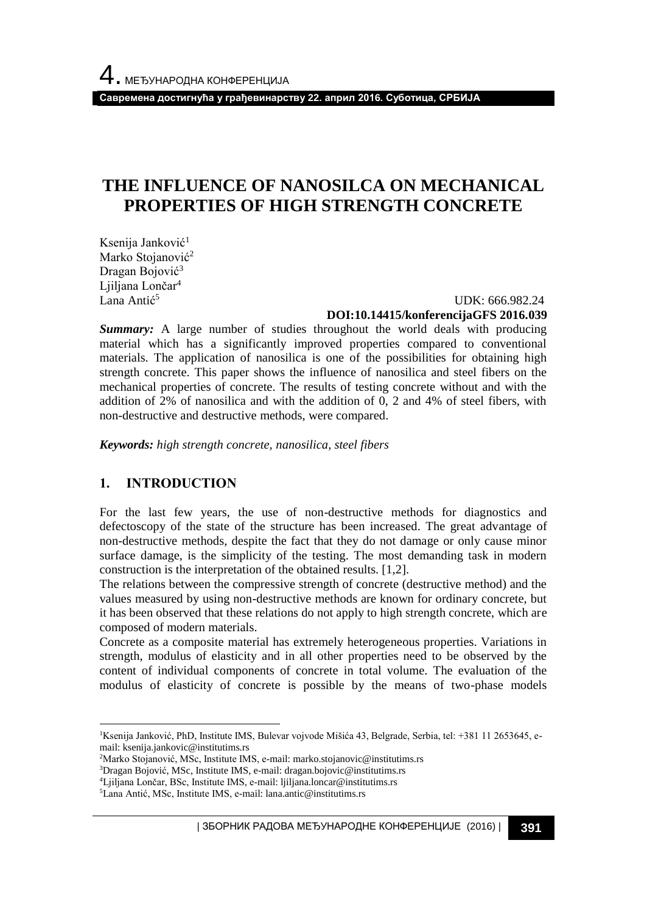**Савремена достигнућа у грађевинарству 22. април 2016. Суботица, СРБИЈА**

# **THE INFLUENCE OF NANOSILCA ON MECHANICAL PROPERTIES OF HIGH STRENGTH CONCRETE**

Ksenija Janković<sup>1</sup> Marko Stojanović<sup>2</sup> Dragan Bojović<sup>3</sup> Ljiljana Lončar<sup>4</sup> Lana Antić<sup>5</sup>

 UDK: 666.982.24 **DOI:10.14415/konferencijaGFS 2016.039**

*Summary:* A large number of studies throughout the world deals with producing material which has a significantly improved properties compared to conventional materials. The application of nanosilica is one of the possibilities for obtaining high strength concrete. This paper shows the influence of nanosilica and steel fibers on the mechanical properties of concrete. The results of testing concrete without and with the addition of 2% of nanosilica and with the addition of 0, 2 and 4% of steel fibers, with non-destructive and destructive methods, were compared.

*Keywords: high strength concrete, nanosilica, steel fibers*

## **1. INTRODUCTION**

l

For the last few years, the use of non-destructive methods for diagnostics and defectoscopy of the state of the structure has been increased. The great advantage of non-destructive methods, despite the fact that they do not damage or only cause minor surface damage, is the simplicity of the testing. The most demanding task in modern construction is the interpretation of the obtained results. [1,2].

The relations between the compressive strength of concrete (destructive method) and the values measured by using non-destructive methods are known for ordinary concrete, but it has been observed that these relations do not apply to high strength concrete, which are composed of modern materials.

Concrete as a composite material has extremely heterogeneous properties. Variations in strength, modulus of elasticity and in all other properties need to be observed by the content of individual components of concrete in total volume. The evaluation of the modulus of elasticity of concrete is possible by the means of two-phase models

- <sup>2</sup>Marko Stojanović, MSc, Institute IMS, e-mail: marko.stojanovic@institutims.rs
- <sup>3</sup>Dragan Bojović, MSc, Institute IMS, e-mail: dragan.bojovic@institutims.rs

| ЗБОРНИК РАДОВА МЕЂУНАРОДНЕ КОНФЕРЕНЦИЈЕ (2016) | **391**

<sup>&</sup>lt;sup>1</sup>Ksenija Janković, PhD, Institute IMS, Bulevar vojvode Mišića 43, Belgrade, Serbia, tel: +381 11 2653645, email: ksenija.jankovic@institutims.rs

<sup>4</sup>Ljiljana Lončar, BSc, Institute IMS, e-mail: ljiljana.loncar@institutims.rs

<sup>5</sup>Lana Antić, MSc, Institute IMS, e-mail: lana.antic@institutims.rs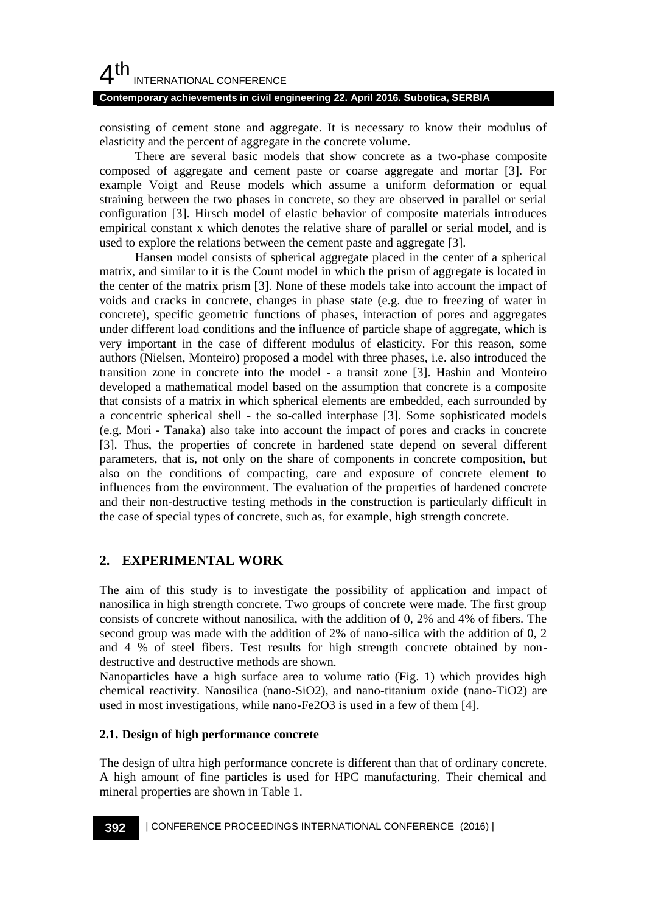# $4<sup>th</sup>$ INTERNATIONAL CONFERENCE

#### **Contemporary achievements in civil engineering 22. April 2016. Subotica, SERBIA**

consisting of cement stone and aggregate. It is necessary to know their modulus of elasticity and the percent of aggregate in the concrete volume.

There are several basic models that show concrete as a two-phase composite composed of aggregate and cement paste or coarse aggregate and mortar [3]. For example Voigt and Reuse models which assume a uniform deformation or equal straining between the two phases in concrete, so they are observed in parallel or serial configuration [3]. Hirsch model of elastic behavior of composite materials introduces empirical constant x which denotes the relative share of parallel or serial model, and is used to explore the relations between the cement paste and aggregate [3].

Hansen model consists of spherical aggregate placed in the center of a spherical matrix, and similar to it is the Count model in which the prism of aggregate is located in the center of the matrix prism [3]. None of these models take into account the impact of voids and cracks in concrete, changes in phase state (e.g. due to freezing of water in concrete), specific geometric functions of phases, interaction of pores and aggregates under different load conditions and the influence of particle shape of aggregate, which is very important in the case of different modulus of elasticity. For this reason, some authors (Nielsen, Monteiro) proposed a model with three phases, i.e. also introduced the transition zone in concrete into the model - a transit zone [3]. Hashin and Monteiro developed a mathematical model based on the assumption that concrete is a composite that consists of a matrix in which spherical elements are embedded, each surrounded by a concentric spherical shell - the so-called interphase [3]. Some sophisticated models (e.g. Mori - Tanaka) also take into account the impact of pores and cracks in concrete [3]. Thus, the properties of concrete in hardened state depend on several different parameters, that is, not only on the share of components in concrete composition, but also on the conditions of compacting, care and exposure of concrete element to influences from the environment. The evaluation of the properties of hardened concrete and their non-destructive testing methods in the construction is particularly difficult in the case of special types of concrete, such as, for example, high strength concrete.

## **2. EXPERIMENTAL WORK**

The aim of this study is to investigate the possibility of application and impact of nanosilica in high strength concrete. Two groups of concrete were made. The first group consists of concrete without nanosilica, with the addition of 0, 2% and 4% of fibers. The second group was made with the addition of 2% of nano-silica with the addition of 0, 2 and 4 % of steel fibers. Test results for high strength concrete obtained by nondestructive and destructive methods are shown.

Nanoparticles have a high surface area to volume ratio (Fig. 1) which provides high chemical reactivity. Nanosilica (nano-SiO2), and nano-titanium oxide (nano-TiO2) are used in most investigations, while nano-Fe2O3 is used in a few of them [4].

#### **2.1. Design of high performance concrete**

The design of ultra high performance concrete is different than that of ordinary concrete. A high amount of fine particles is used for HPC manufacturing. Their chemical and mineral properties are shown in Table 1.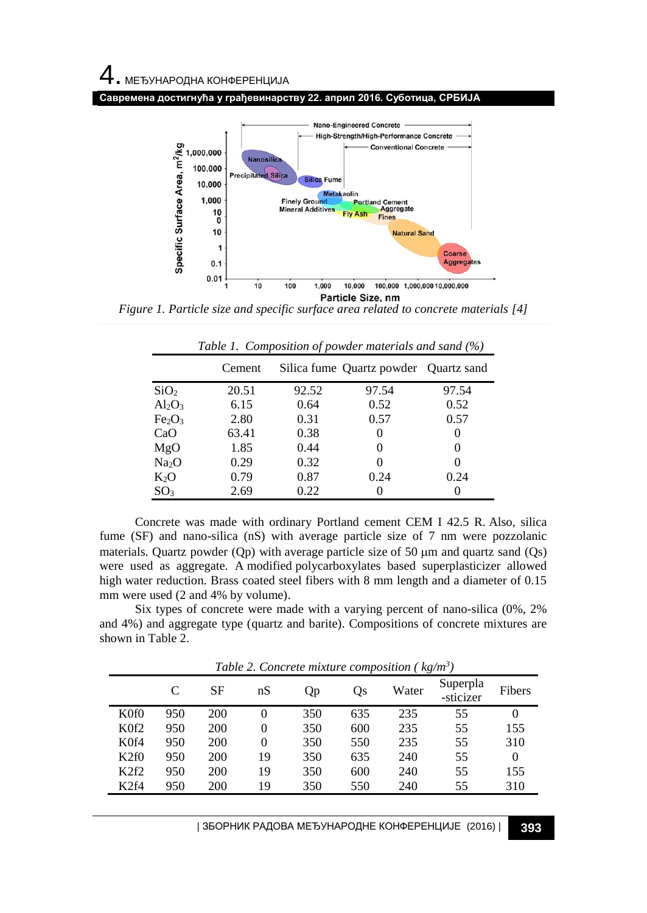



*Figure 1. Particle size and specific surface area related to concrete materials [4]*

|                                | Cement |       | Silica fume Quartz powder Quartz sand |          |
|--------------------------------|--------|-------|---------------------------------------|----------|
| SiO <sub>2</sub>               | 20.51  | 92.52 | 97.54                                 | 97.54    |
| $Al_2O_3$                      | 6.15   | 0.64  | 0.52                                  | 0.52     |
| Fe <sub>2</sub> O <sub>3</sub> | 2.80   | 0.31  | 0.57                                  | 0.57     |
| CaO                            | 63.41  | 0.38  | 0                                     | $\theta$ |
| MgO                            | 1.85   | 0.44  | $\theta$                              | $\theta$ |
| Na <sub>2</sub> O              | 0.29   | 0.32  | $\theta$                              |          |
| $K_2O$                         | 0.79   | 0.87  | 0.24                                  | 0.24     |
| SO <sub>3</sub>                | 2.69   | 0.22  |                                       |          |

*Table 1. Composition of powder materials and sand (%)*

Concrete was made with ordinary Portland cement CEM I 42.5 R. Also, silica fume (SF) and nano-silica (nS) with average particle size of 7 nm were pozzolanic materials. Quartz powder (Qp) with average particle size of 50  $\mu$ m and quartz sand (Qs) were used as aggregate. A modified polycarboxylates based superplasticizer allowed high water reduction. Brass coated steel fibers with 8 mm length and a diameter of 0.15 mm were used (2 and 4% by volume).

Six types of concrete were made with a varying percent of nano-silica (0%, 2% and 4%) and aggregate type (quartz and barite). Compositions of concrete mixtures are shown in Table 2.

|                              |     |     |    | Tubic 2. Concrete manual composition ( |     |       | $n_{\mathcal{S}}/n_{\mathcal{I}}$ |          |
|------------------------------|-----|-----|----|----------------------------------------|-----|-------|-----------------------------------|----------|
|                              | C   | SF  | nS | Qp                                     | Qs  | Water | Superpla<br>-sticizer             | Fibers   |
| K <sub>0f</sub> <sub>0</sub> | 950 | 200 |    | 350                                    | 635 | 235   | 55                                |          |
| K <sub>0f</sub> 2            | 950 | 200 | 0  | 350                                    | 600 | 235   | 55                                | 155      |
| K <sub>0f4</sub>             | 950 | 200 | 0  | 350                                    | 550 | 235   | 55                                | 310      |
| K2f0                         | 950 | 200 | 19 | 350                                    | 635 | 240   | 55                                | $\Omega$ |
| K2f2                         | 950 | 200 | 19 | 350                                    | 600 | 240   | 55                                | 155      |
| K <sub>2f4</sub>             | 950 | 200 | 19 | 350                                    | 550 | 240   | 55                                | 310      |
|                              |     |     |    |                                        |     |       |                                   |          |

*Table 2. Concrete mixture composition ( kg/m<sup>3</sup> )*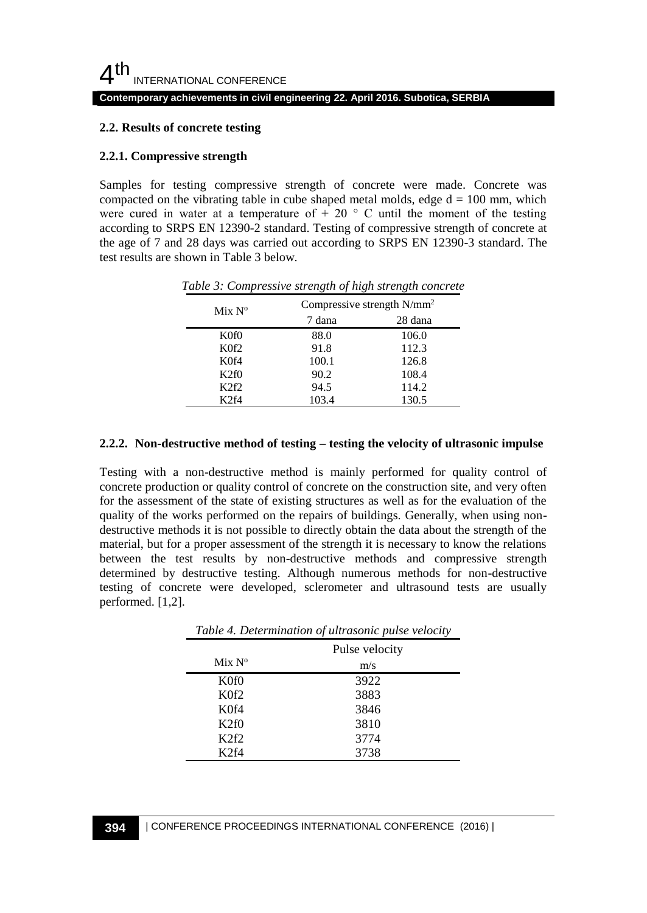#### **Contemporary achievements in civil engineering 22. April 2016. Subotica, SERBIA**

#### **2.2. Results of concrete testing**

#### **2.2.1. Compressive strength**

Samples for testing compressive strength of concrete were made. Concrete was compacted on the vibrating table in cube shaped metal molds, edge  $d = 100$  mm, which were cured in water at a temperature of  $+ 20$  ° C until the moment of the testing according to SRPS EN 12390-2 standard. Testing of compressive strength of concrete at the age of 7 and 28 days was carried out according to SRPS EN 12390-3 standard. The test results are shown in Table 3 below.

| Mix N <sup>o</sup> | Compressive strength $N/mm^2$ |         |  |
|--------------------|-------------------------------|---------|--|
|                    | 7 dana                        | 28 dana |  |
| K0f0               | 88.0                          | 106.0   |  |
| K0f2               | 91.8                          | 112.3   |  |
| K0f4               | 100.1                         | 126.8   |  |
| K2f0               | 90.2                          | 108.4   |  |
| K2f2               | 94.5                          | 114.2   |  |
| $K$ 2f4            | 103.4                         | 130.5   |  |

*Table 3: Compressive strength of high strength concrete*

#### **2.2.2. Non-destructive method of testing – testing the velocity of ultrasonic impulse**

Testing with a non-destructive method is mainly performed for quality control of concrete production or quality control of concrete on the construction site, and very often for the assessment of the state of existing structures as well as for the evaluation of the quality of the works performed on the repairs of buildings. Generally, when using nondestructive methods it is not possible to directly obtain the data about the strength of the material, but for a proper assessment of the strength it is necessary to know the relations between the test results by non-destructive methods and compressive strength determined by destructive testing. Although numerous methods for non-destructive testing of concrete were developed, sclerometer and ultrasound tests are usually performed. [1,2].

| Table 4. Determination of ultrasonic pulse velocity |                |  |
|-----------------------------------------------------|----------------|--|
|                                                     | Pulse velocity |  |
| Mix N <sup>o</sup>                                  | m/s            |  |
| K <sub>0f</sub> <sub>0</sub>                        | 3922           |  |
| K <sub>0</sub> f <sub>2</sub>                       | 3883           |  |
| K <sub>0</sub> f4                                   | 3846           |  |
| K2f0                                                | 3810           |  |
| K <sub>2</sub> f <sub>2</sub>                       | 3774           |  |
| K <sub>2</sub> f4                                   | 3738           |  |

*Table 4. Determination of ultrasonic pulse velocity*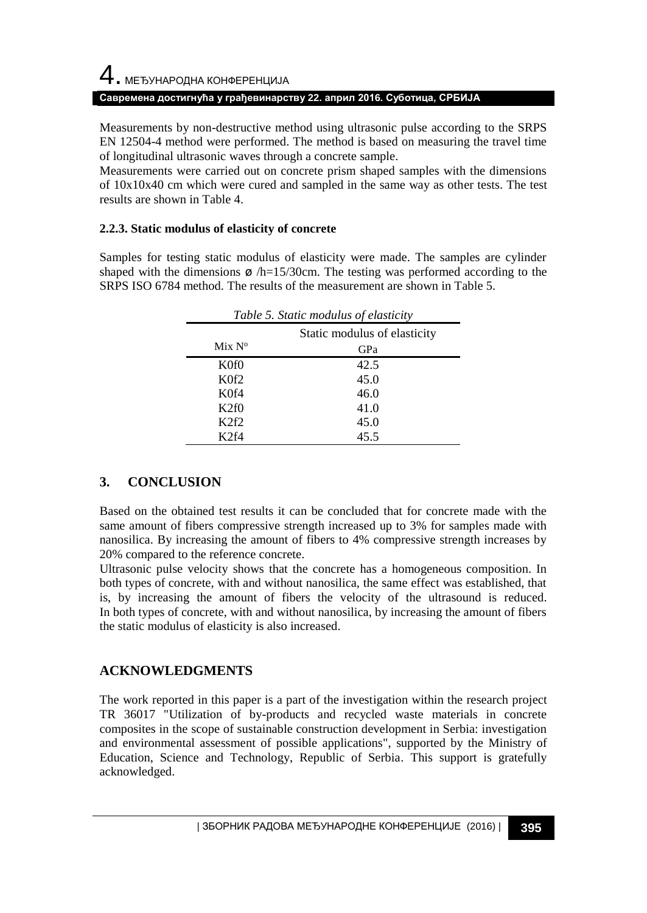#### **Савремена достигнућа у грађевинарству 22. април 2016. Суботица, СРБИЈА**

Measurements by non-destructive method using ultrasonic pulse according to the SRPS EN 12504-4 method were performed. The method is based on measuring the travel time of longitudinal ultrasonic waves through a concrete sample.

Measurements were carried out on concrete prism shaped samples with the dimensions of 10x10x40 cm which were cured and sampled in the same way as other tests. The test results are shown in Table 4.

#### **2.2.3. Static modulus of elasticity of concrete**

Samples for testing static modulus of elasticity were made. The samples are cylinder shaped with the dimensions  $\varphi$  /h=15/30cm. The testing was performed according to the SRPS ISO 6784 method. The results of the measurement are shown in Table 5.

| Table 5. Static modulus of elasticity |                              |  |
|---------------------------------------|------------------------------|--|
|                                       | Static modulus of elasticity |  |
| Mix N <sup>o</sup>                    | GPa                          |  |
| K <sub>0f</sub> <sub>0</sub>          | 42.5                         |  |
| K <sub>0</sub> f <sub>2</sub>         | 45.0                         |  |
| K <sub>0</sub> f4                     | 46.0                         |  |
| K2f0                                  | 41.0                         |  |
| K <sub>2</sub> f <sub>2</sub>         | 45.0                         |  |
| K2f4                                  | 45.5                         |  |

## **3. CONCLUSION**

Based on the obtained test results it can be concluded that for concrete made with the same amount of fibers compressive strength increased up to 3% for samples made with nanosilica. By increasing the amount of fibers to 4% compressive strength increases by 20% compared to the reference concrete.

Ultrasonic pulse velocity shows that the concrete has a homogeneous composition. In both types of concrete, with and without nanosilica, the same effect was established, that is, by increasing the amount of fibers the velocity of the ultrasound is reduced. In both types of concrete, with and without nanosilica, by increasing the amount of fibers the static modulus of elasticity is also increased.

## **ACKNOWLEDGMENTS**

The work reported in this paper is a part of the investigation within the research project TR 36017 "Utilization of by-products and recycled waste materials in concrete composites in the scope of sustainable construction development in Serbia: investigation and environmental assessment of possible applications", supported by the Ministry of Education, Science and Technology, Republic of Serbia. This support is gratefully acknowledged.